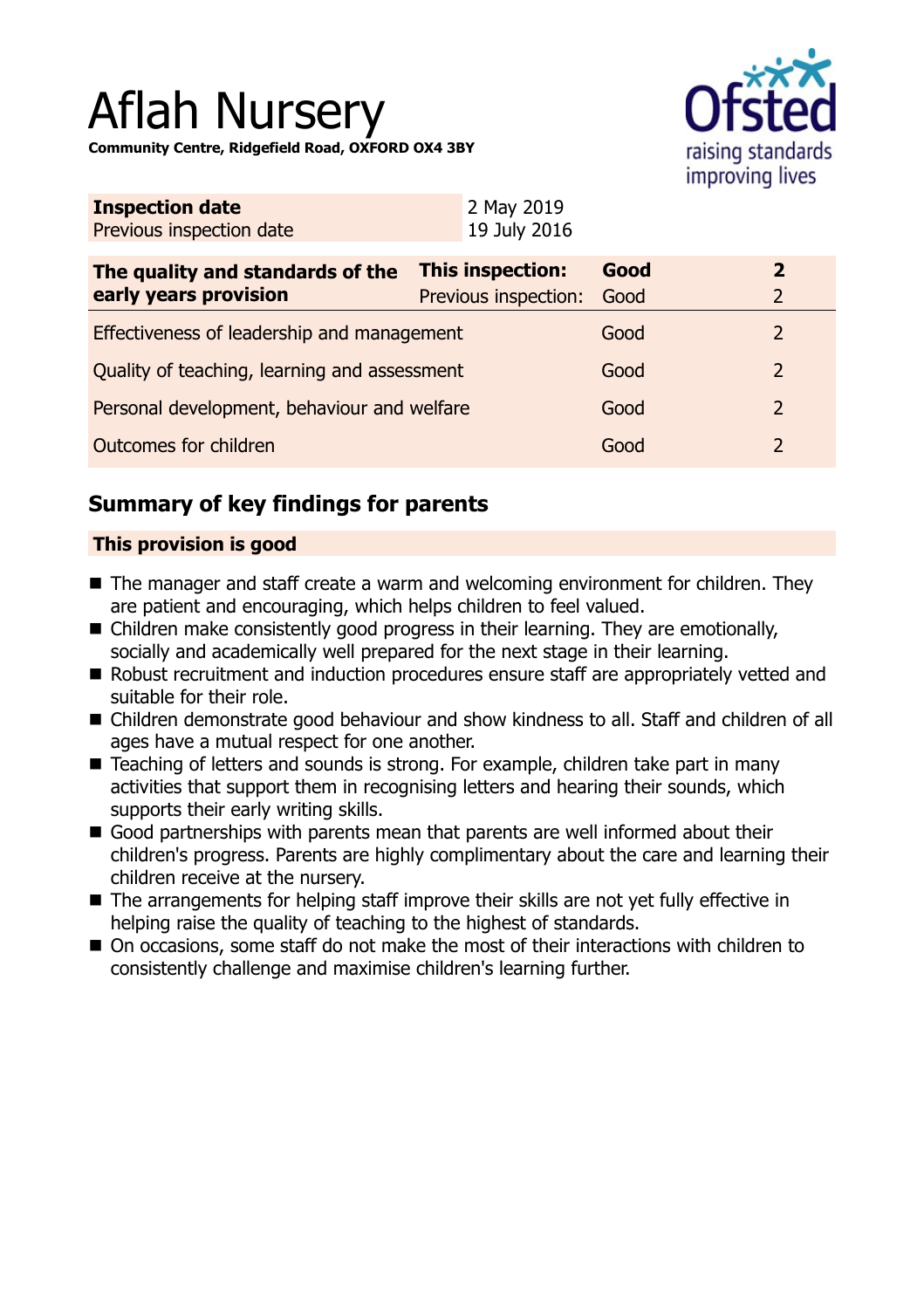# Aflah Nursery

raising standards improving lives

**Community Centre, Ridgefield Road, OXFORD OX4 3BY**

| <b>Inspection date</b><br>Previous inspection date        | 2 May 2019<br>19 July 2016               |              |                                |
|-----------------------------------------------------------|------------------------------------------|--------------|--------------------------------|
| The quality and standards of the<br>early years provision | This inspection:<br>Previous inspection: | Good<br>Good | $\mathbf{2}$<br>$\overline{2}$ |
| Effectiveness of leadership and management                |                                          | Good         | $\overline{2}$                 |
| Quality of teaching, learning and assessment              |                                          | Good         | $\overline{2}$                 |
| Personal development, behaviour and welfare               |                                          | Good         | 2                              |
| <b>Outcomes for children</b>                              |                                          | Good         | 2                              |

## **Summary of key findings for parents**

## **This provision is good**

- $\blacksquare$  The manager and staff create a warm and welcoming environment for children. They are patient and encouraging, which helps children to feel valued.
- $\blacksquare$  Children make consistently good progress in their learning. They are emotionally, socially and academically well prepared for the next stage in their learning.
- Robust recruitment and induction procedures ensure staff are appropriately vetted and suitable for their role.
- Children demonstrate good behaviour and show kindness to all. Staff and children of all ages have a mutual respect for one another.
- Teaching of letters and sounds is strong. For example, children take part in many activities that support them in recognising letters and hearing their sounds, which supports their early writing skills.
- $\blacksquare$  Good partnerships with parents mean that parents are well informed about their children's progress. Parents are highly complimentary about the care and learning their children receive at the nursery.
- $\blacksquare$  The arrangements for helping staff improve their skills are not yet fully effective in helping raise the quality of teaching to the highest of standards.
- On occasions, some staff do not make the most of their interactions with children to consistently challenge and maximise children's learning further.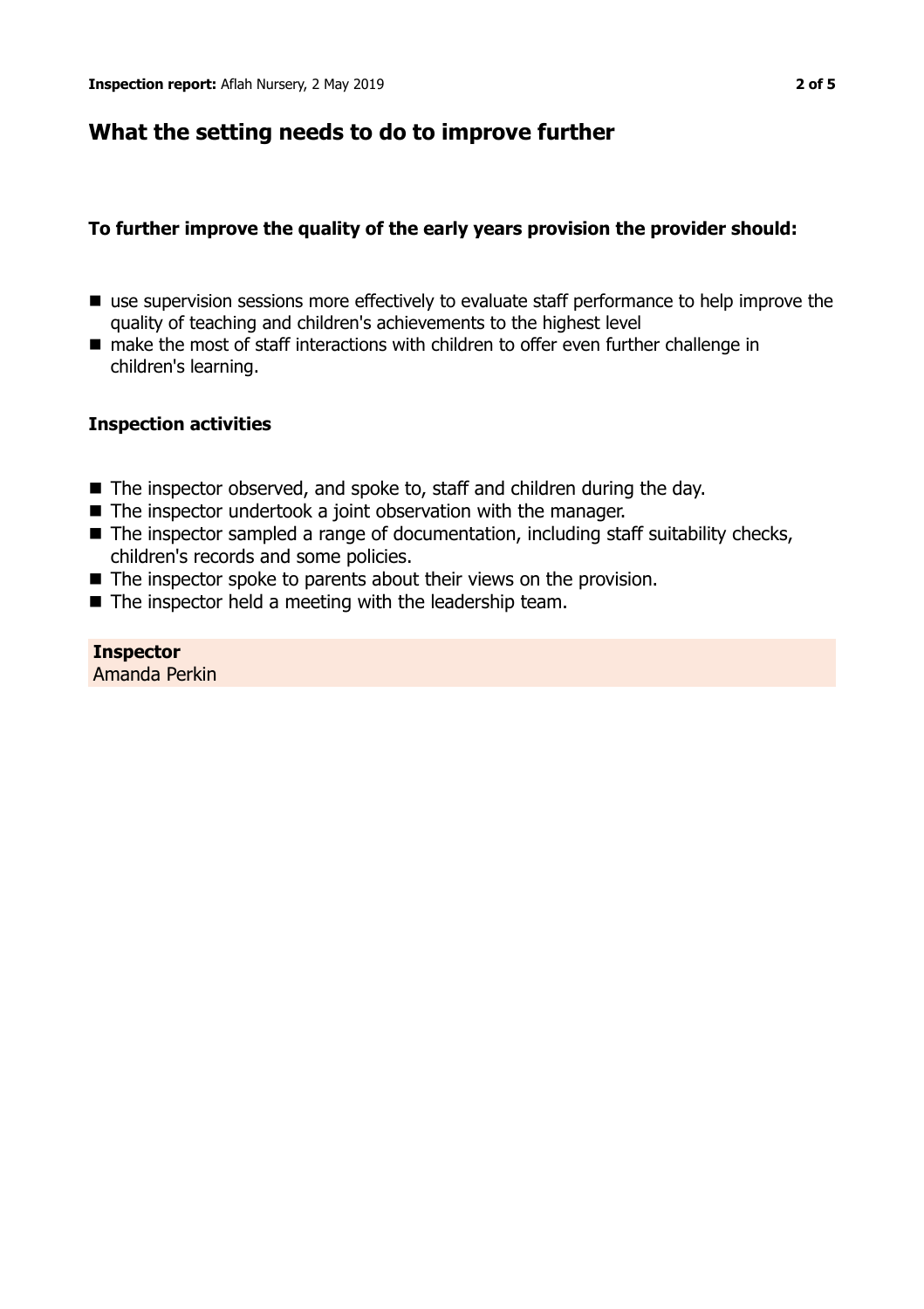## **What the setting needs to do to improve further**

## **To further improve the quality of the early years provision the provider should:**

- use supervision sessions more effectively to evaluate staff performance to help improve the quality of teaching and children's achievements to the highest level
- make the most of staff interactions with children to offer even further challenge in children's learning.

#### **Inspection activities**

- $\blacksquare$  The inspector observed, and spoke to, staff and children during the day.
- $\blacksquare$  The inspector undertook a joint observation with the manager.
- $\blacksquare$  The inspector sampled a range of documentation, including staff suitability checks, children's records and some policies.
- $\blacksquare$  The inspector spoke to parents about their views on the provision.
- $\blacksquare$  The inspector held a meeting with the leadership team.

**Inspector** Amanda Perkin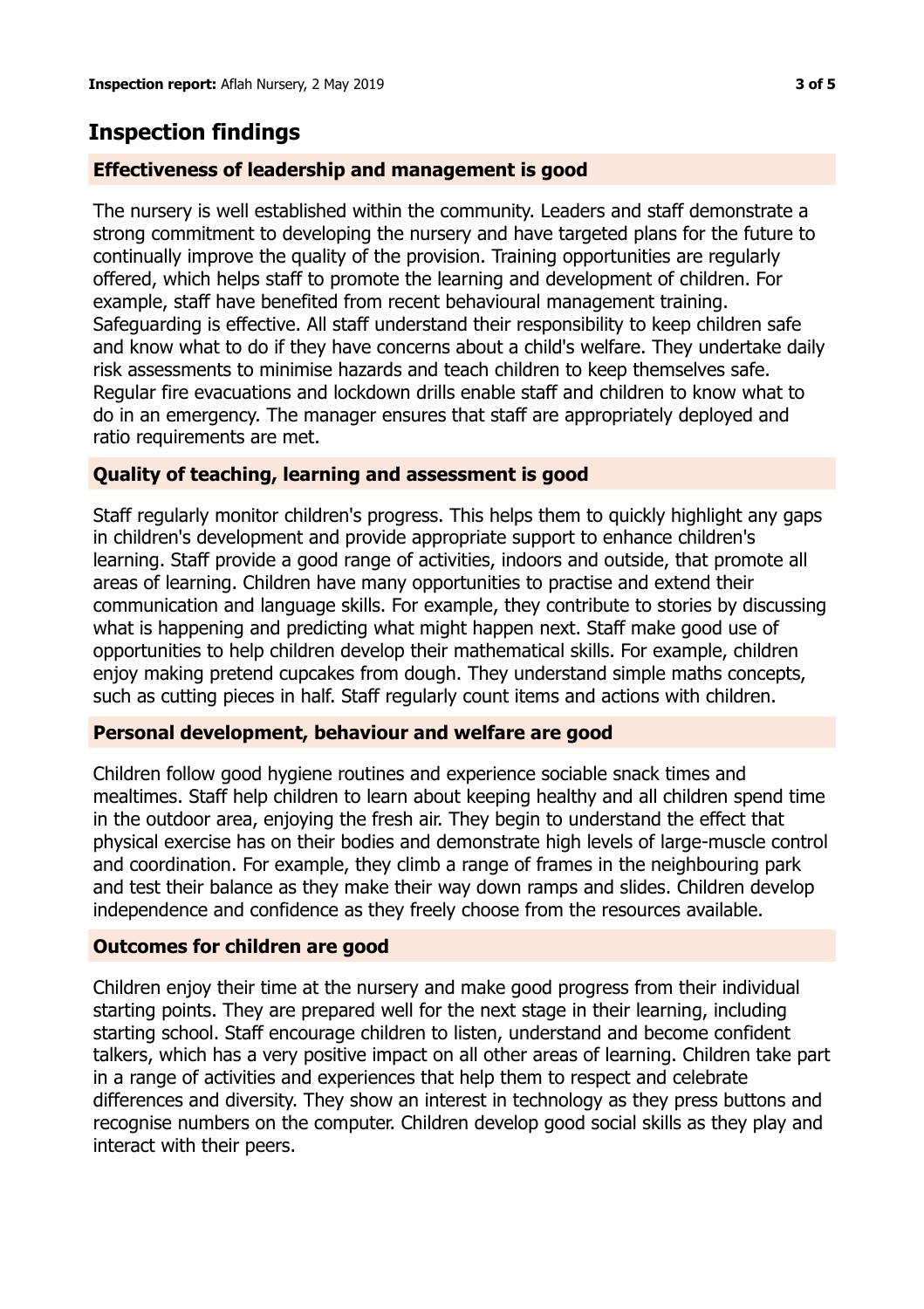## **Inspection findings**

## **Effectiveness of leadership and management is good**

The nursery is well established within the community. Leaders and staff demonstrate a strong commitment to developing the nursery and have targeted plans for the future to continually improve the quality of the provision. Training opportunities are regularly offered, which helps staff to promote the learning and development of children. For example, staff have benefited from recent behavioural management training. Safeguarding is effective. All staff understand their responsibility to keep children safe and know what to do if they have concerns about a child's welfare. They undertake daily risk assessments to minimise hazards and teach children to keep themselves safe. Regular fire evacuations and lockdown drills enable staff and children to know what to do in an emergency. The manager ensures that staff are appropriately deployed and ratio requirements are met.

### **Quality of teaching, learning and assessment is good**

Staff regularly monitor children's progress. This helps them to quickly highlight any gaps in children's development and provide appropriate support to enhance children's learning. Staff provide a good range of activities, indoors and outside, that promote all areas of learning. Children have many opportunities to practise and extend their communication and language skills. For example, they contribute to stories by discussing what is happening and predicting what might happen next. Staff make good use of opportunities to help children develop their mathematical skills. For example, children enjoy making pretend cupcakes from dough. They understand simple maths concepts, such as cutting pieces in half. Staff regularly count items and actions with children.

#### **Personal development, behaviour and welfare are good**

Children follow good hygiene routines and experience sociable snack times and mealtimes. Staff help children to learn about keeping healthy and all children spend time in the outdoor area, enjoying the fresh air. They begin to understand the effect that physical exercise has on their bodies and demonstrate high levels of large-muscle control and coordination. For example, they climb a range of frames in the neighbouring park and test their balance as they make their way down ramps and slides. Children develop independence and confidence as they freely choose from the resources available.

#### **Outcomes for children are good**

Children enjoy their time at the nursery and make good progress from their individual starting points. They are prepared well for the next stage in their learning, including starting school. Staff encourage children to listen, understand and become confident talkers, which has a very positive impact on all other areas of learning. Children take part in a range of activities and experiences that help them to respect and celebrate differences and diversity. They show an interest in technology as they press buttons and recognise numbers on the computer. Children develop good social skills as they play and interact with their peers.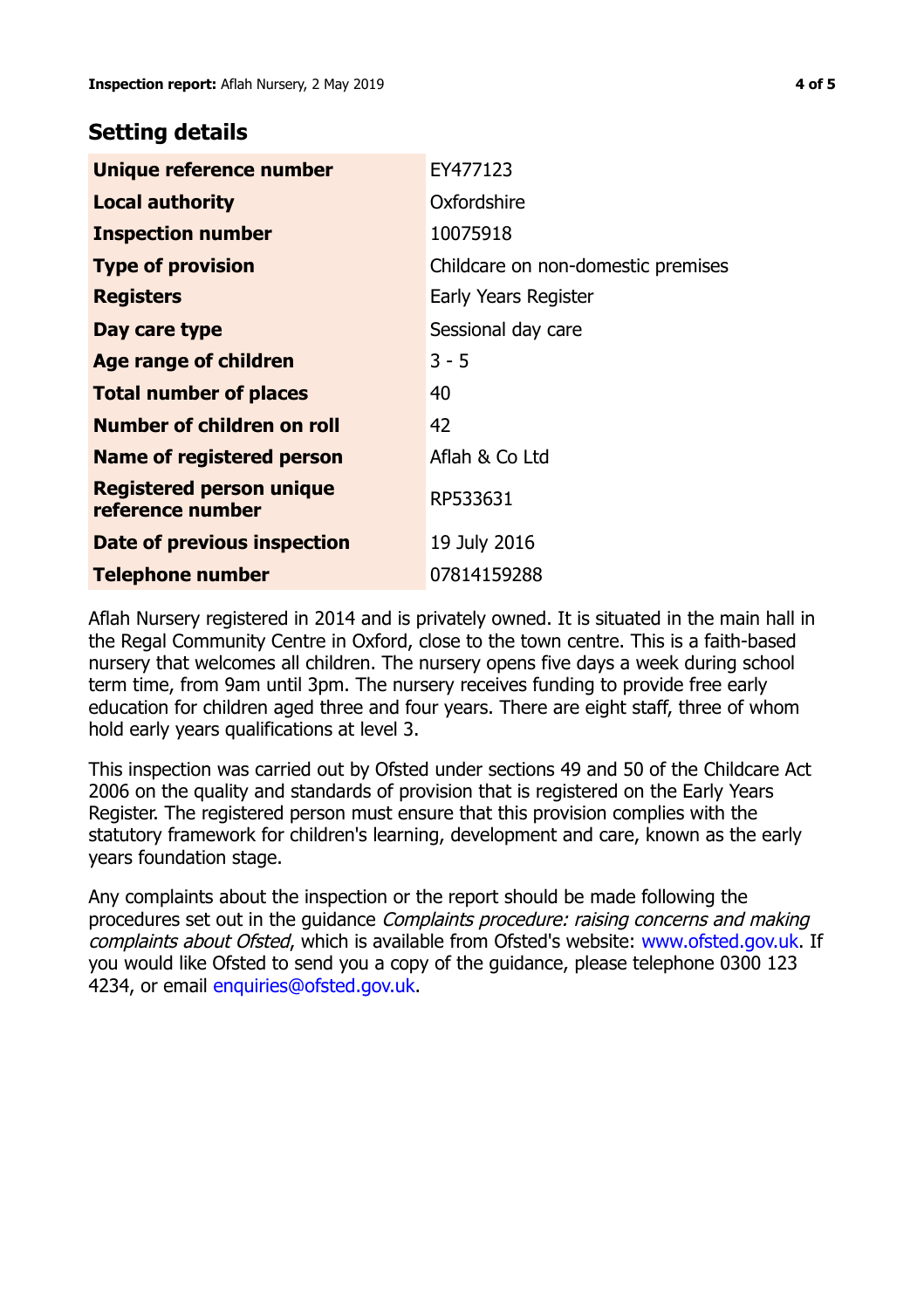## **Setting details**

| Unique reference number                             | EY477123                           |
|-----------------------------------------------------|------------------------------------|
| <b>Local authority</b>                              | Oxfordshire                        |
| <b>Inspection number</b>                            | 10075918                           |
| <b>Type of provision</b>                            | Childcare on non-domestic premises |
| <b>Registers</b>                                    | Early Years Register               |
| Day care type                                       | Sessional day care                 |
| <b>Age range of children</b>                        | $3 - 5$                            |
| <b>Total number of places</b>                       | 40                                 |
| Number of children on roll                          | 42                                 |
| Name of registered person                           | Aflah & Co Ltd                     |
| <b>Registered person unique</b><br>reference number | RP533631                           |
| Date of previous inspection                         | 19 July 2016                       |
| <b>Telephone number</b>                             | 07814159288                        |

Aflah Nursery registered in 2014 and is privately owned. It is situated in the main hall in the Regal Community Centre in Oxford, close to the town centre. This is a faith-based nursery that welcomes all children. The nursery opens five days a week during school term time, from 9am until 3pm. The nursery receives funding to provide free early education for children aged three and four years. There are eight staff, three of whom hold early years qualifications at level 3.

This inspection was carried out by Ofsted under sections 49 and 50 of the Childcare Act 2006 on the quality and standards of provision that is registered on the Early Years Register. The registered person must ensure that this provision complies with the statutory framework for children's learning, development and care, known as the early years foundation stage.

Any complaints about the inspection or the report should be made following the procedures set out in the guidance Complaints procedure: raising concerns and making complaints about Ofsted, which is available from Ofsted's website: www.ofsted.gov.uk. If you would like Ofsted to send you a copy of the guidance, please telephone 0300 123 4234, or email [enquiries@ofsted.gov.uk.](mailto:enquiries@ofsted.gov.uk)